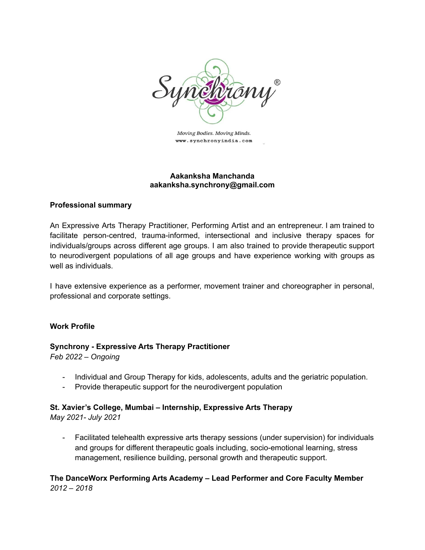

Moving Bodies. Moving Minds. www.synchronyindia.com

#### **Aakanksha Manchanda aakanksha.synchrony@gmail.com**

#### **Professional summary**

An Expressive Arts Therapy Practitioner, Performing Artist and an entrepreneur. I am trained to facilitate person-centred, trauma-informed, intersectional and inclusive therapy spaces for individuals/groups across different age groups. I am also trained to provide therapeutic support to neurodivergent populations of all age groups and have experience working with groups as well as individuals.

I have extensive experience as a performer, movement trainer and choreographer in personal, professional and corporate settings.

#### **Work Profile**

# **Synchrony - Expressive Arts Therapy Practitioner**

*Feb 2022 – Ongoing*

- Individual and Group Therapy for kids, adolescents, adults and the geriatric population.
- Provide therapeutic support for the neurodivergent population

### **St. Xavier's College, Mumbai – Internship, Expressive Arts Therapy**

*May 2021- July 2021*

- Facilitated telehealth expressive arts therapy sessions (under supervision) for individuals and groups for different therapeutic goals including, socio-emotional learning, stress management, resilience building, personal growth and therapeutic support.

### **The DanceWorx Performing Arts Academy – Lead Performer and Core Faculty Member** *2012 – 2018*